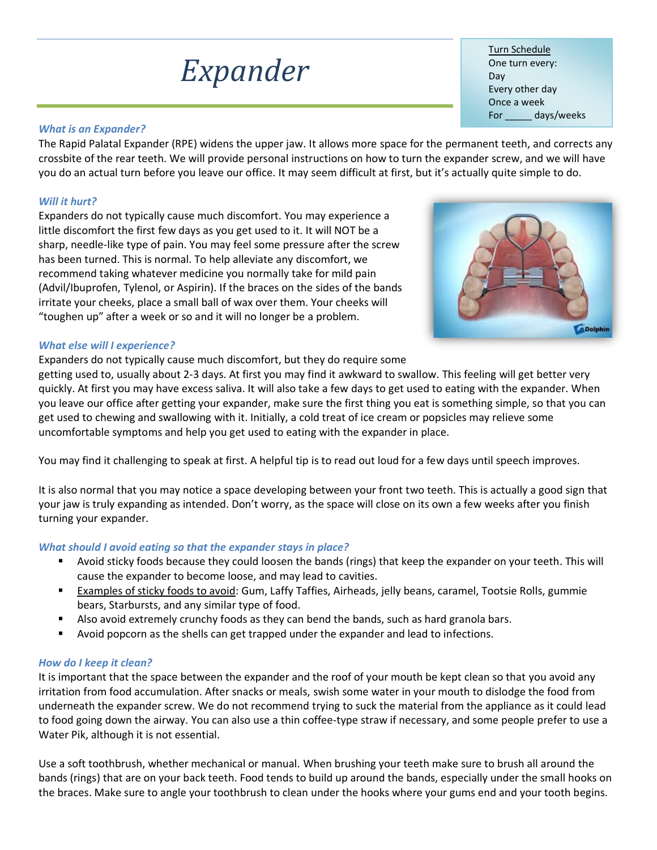# *Expander*

Turn Schedule One turn every: Day Every other day Once a week For days/weeks

## *What is an Expander?*

The Rapid Palatal Expander (RPE) widens the upper jaw. It allows more space for the permanent teeth, and corrects any crossbite of the rear teeth. We will provide personal instructions on how to turn the expander screw, and we will have you do an actual turn before you leave our office. It may seem difficult at first, but it's actually quite simple to do.

## *Will it hurt?*

Expanders do not typically cause much discomfort. You may experience a little discomfort the first few days as you get used to it. It will NOT be a sharp, needle-like type of pain. You may feel some pressure after the screw has been turned. This is normal. To help alleviate any discomfort, we recommend taking whatever medicine you normally take for mild pain (Advil/Ibuprofen, Tylenol, or Aspirin). If the braces on the sides of the bands irritate your cheeks, place a small ball of wax over them. Your cheeks will "toughen up" after a week or so and it will no longer be a problem.



## *What else will I experience?*

Expanders do not typically cause much discomfort, but they do require some

getting used to, usually about 2-3 days. At first you may find it awkward to swallow. This feeling will get better very quickly. At first you may have excess saliva. It will also take a few days to get used to eating with the expander. When you leave our office after getting your expander, make sure the first thing you eat is something simple, so that you can get used to chewing and swallowing with it. Initially, a cold treat of ice cream or popsicles may relieve some uncomfortable symptoms and help you get used to eating with the expander in place.

You may find it challenging to speak at first. A helpful tip is to read out loud for a few days until speech improves.

It is also normal that you may notice a space developing between your front two teeth. This is actually a good sign that your jaw is truly expanding as intended. Don't worry, as the space will close on its own a few weeks after you finish turning your expander.

## *What should I avoid eating so that the expander stays in place?*

- Avoid sticky foods because they could loosen the bands (rings) that keep the expander on your teeth. This will cause the expander to become loose, and may lead to cavities.
- Examples of sticky foods to avoid: Gum, Laffy Taffies, Airheads, jelly beans, caramel, Tootsie Rolls, gummie bears, Starbursts, and any similar type of food.
- Also avoid extremely crunchy foods as they can bend the bands, such as hard granola bars.
- Avoid popcorn as the shells can get trapped under the expander and lead to infections.

## *How do I keep it clean?*

It is important that the space between the expander and the roof of your mouth be kept clean so that you avoid any irritation from food accumulation. After snacks or meals, swish some water in your mouth to dislodge the food from underneath the expander screw. We do not recommend trying to suck the material from the appliance as it could lead to food going down the airway. You can also use a thin coffee-type straw if necessary, and some people prefer to use a Water Pik, although it is not essential.

Use a soft toothbrush, whether mechanical or manual. When brushing your teeth make sure to brush all around the bands (rings) that are on your back teeth. Food tends to build up around the bands, especially under the small hooks on the braces. Make sure to angle your toothbrush to clean under the hooks where your gums end and your tooth begins.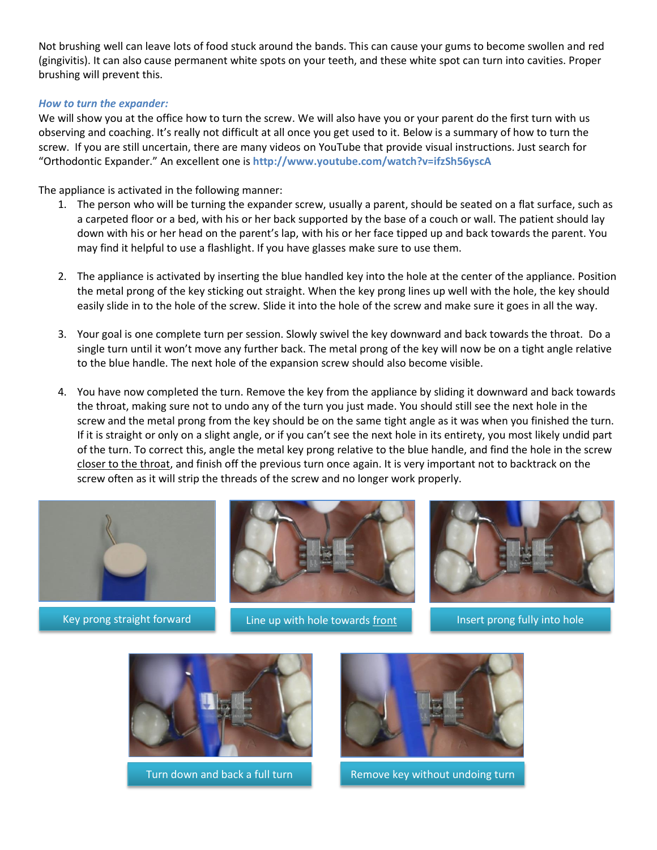Not brushing well can leave lots of food stuck around the bands. This can cause your gums to become swollen and red (gingivitis). It can also cause permanent white spots on your teeth, and these white spot can turn into cavities. Proper brushing will prevent this.

## *How to turn the expander:*

We will show you at the office how to turn the screw. We will also have you or your parent do the first turn with us observing and coaching. It's really not difficult at all once you get used to it. Below is a summary of how to turn the screw. If you are still uncertain, there are many videos on YouTube that provide visual instructions. Just search for "Orthodontic Expander." An excellent one is **http://www.youtube.com/watch?v=ifzSh56yscA**

The appliance is activated in the following manner:

- 1. The person who will be turning the expander screw, usually a parent, should be seated on a flat surface, such as a carpeted floor or a bed, with his or her back supported by the base of a couch or wall. The patient should lay down with his or her head on the parent's lap, with his or her face tipped up and back towards the parent. You may find it helpful to use a flashlight. If you have glasses make sure to use them.
- 2. The appliance is activated by inserting the blue handled key into the hole at the center of the appliance. Position the metal prong of the key sticking out straight. When the key prong lines up well with the hole, the key should easily slide in to the hole of the screw. Slide it into the hole of the screw and make sure it goes in all the way.
- 3. Your goal is one complete turn per session. Slowly swivel the key downward and back towards the throat. Do a single turn until it won't move any further back. The metal prong of the key will now be on a tight angle relative to the blue handle. The next hole of the expansion screw should also become visible.
- 4. You have now completed the turn. Remove the key from the appliance by sliding it downward and back towards the throat, making sure not to undo any of the turn you just made. You should still see the next hole in the screw and the metal prong from the key should be on the same tight angle as it was when you finished the turn. If it is straight or only on a slight angle, or if you can't see the next hole in its entirety, you most likely undid part of the turn. To correct this, angle the metal key prong relative to the blue handle, and find the hole in the screw closer to the throat, and finish off the previous turn once again. It is very important not to backtrack on the screw often as it will strip the threads of the screw and no longer work properly.





Key prong straight forward Line up with hole towards front Insert prong fully into hole







Turn down and back a full turn **Remove key without undoing turn**